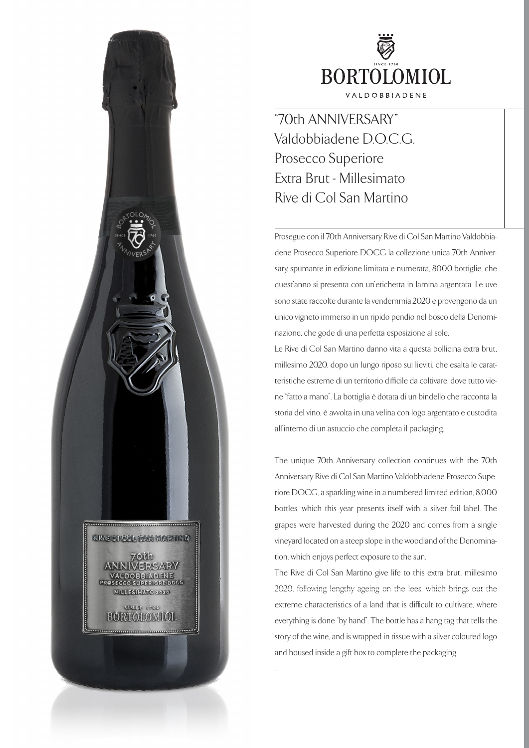

"70th ANNIVERSARY" Valdobbiadene D.O.C.G. Prosecco Superiore Extra Brut - Millesimato Rive di Col San Martino

Prosegue con il 70th Anniversary Rive di Col San Martino Valdobbiadene Prosecco Superiore DOCG la collezione unica 70th Anniversary, spumante in edizione limitata e numerata, 8000 bottiglie, che quest'anno si presenta con un'etichetta in lamina argentata. Le uve sono state raccolte durante la vendemmia 2020 e provengono da un unico vigneto immerso in un ripido pendio nel bosco della Denominazione, che gode di una perfetta esposizione al sole.

Le Rive di Col San Martino danno vita a questa bollicina extra brut, millesimo 2020, dopo un lungo riposo sui lieviti, che esalta le caratteristiche estreme di un territorio difficile da coltivare, dove tutto viene "fatto a mano". La bottiglia è dotata di un bindello che racconta la storia del vino, è avvolta in una velina con logo argentato e custodita all'interno di un astuccio che completa il packaging.

The unique 70th Anniversary collection continues with the 70th Anniversary Rive di Col San Martino Valdobbiadene Prosecco Superiore DOCG, a sparkling wine in a numbered limited edition, 8,000 bottles, which this year presents itself with a silver foil label. The grapes were harvested during the 2020 and comes from a single vineyard located on a steep slope in the woodland of the Denomination, which enjoys perfect exposure to the sun.

The Rive di Col San Martino give life to this extra brut, millesimo 2020, following lengthy ageing on the lees, which brings out the extreme characteristics of a land that is difficult to cultivate, where everything is done "by hand". The bottle has a hang tag that tells the story of the wine, and is wrapped in tissue with a silver-coloured logo and housed inside a gift box to complete the packaging.

.

**RIVE DI GOL SAN MARTINO** 

> Olda **AERSARY** OBBIADENE<br>DSUPERIORE DOCG

MILLESIMMO 2020 **STRICE 1760 BORTOIOMIOL**